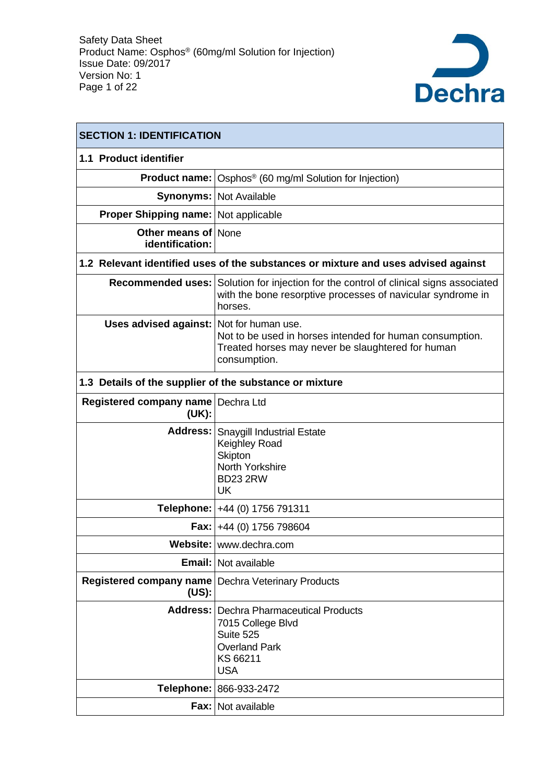

| <b>SECTION 1: IDENTIFICATION</b>                              |                                                                                                                                                                 |  |  |  |
|---------------------------------------------------------------|-----------------------------------------------------------------------------------------------------------------------------------------------------------------|--|--|--|
| 1.1 Product identifier                                        |                                                                                                                                                                 |  |  |  |
|                                                               | <b>Product name:</b> Osphos <sup>®</sup> (60 mg/ml Solution for Injection)                                                                                      |  |  |  |
|                                                               | <b>Synonyms: Not Available</b>                                                                                                                                  |  |  |  |
| <b>Proper Shipping name: Not applicable</b>                   |                                                                                                                                                                 |  |  |  |
| <b>Other means of None</b><br>identification:                 |                                                                                                                                                                 |  |  |  |
|                                                               | 1.2 Relevant identified uses of the substances or mixture and uses advised against                                                                              |  |  |  |
|                                                               | Recommended uses: Solution for injection for the control of clinical signs associated<br>with the bone resorptive processes of navicular syndrome in<br>horses. |  |  |  |
| Uses advised against: Not for human use.                      | Not to be used in horses intended for human consumption.<br>Treated horses may never be slaughtered for human<br>consumption.                                   |  |  |  |
| 1.3 Details of the supplier of the substance or mixture       |                                                                                                                                                                 |  |  |  |
| Registered company name<br>(UK):                              | Dechra Ltd                                                                                                                                                      |  |  |  |
|                                                               | Address: Snaygill Industrial Estate<br>Keighley Road<br><b>Skipton</b><br>North Yorkshire<br><b>BD23 2RW</b><br>UK                                              |  |  |  |
|                                                               | Telephone:   +44 (0) 1756 791311                                                                                                                                |  |  |  |
|                                                               | <b>Fax:</b> $+44$ (0) 1756 798604                                                                                                                               |  |  |  |
|                                                               | Website: www.dechra.com                                                                                                                                         |  |  |  |
|                                                               | Email: Not available                                                                                                                                            |  |  |  |
| Registered company name   Dechra Veterinary Products<br>(US): |                                                                                                                                                                 |  |  |  |
|                                                               | Address:   Dechra Pharmaceutical Products<br>7015 College Blvd<br>Suite 525<br><b>Overland Park</b><br>KS 66211<br><b>USA</b>                                   |  |  |  |
|                                                               | Telephone: 866-933-2472                                                                                                                                         |  |  |  |
|                                                               | Fax: Not available                                                                                                                                              |  |  |  |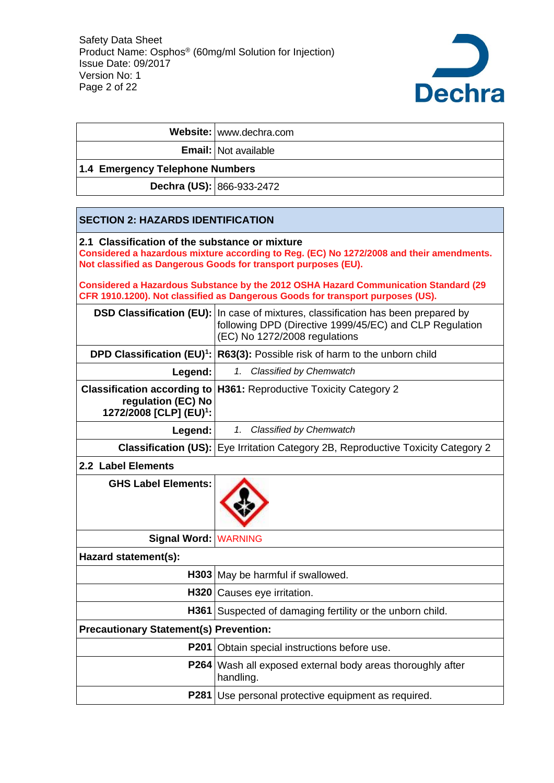

|                                                                                                                                                                       | Website: www.dechra.com                                                                                                                                    |  |  |  |  |
|-----------------------------------------------------------------------------------------------------------------------------------------------------------------------|------------------------------------------------------------------------------------------------------------------------------------------------------------|--|--|--|--|
|                                                                                                                                                                       | Email:   Not available                                                                                                                                     |  |  |  |  |
| 1.4 Emergency Telephone Numbers                                                                                                                                       |                                                                                                                                                            |  |  |  |  |
| Dechra (US): 866-933-2472                                                                                                                                             |                                                                                                                                                            |  |  |  |  |
|                                                                                                                                                                       |                                                                                                                                                            |  |  |  |  |
| <b>SECTION 2: HAZARDS IDENTIFICATION</b>                                                                                                                              |                                                                                                                                                            |  |  |  |  |
| 2.1 Classification of the substance or mixture                                                                                                                        | Considered a hazardous mixture according to Reg. (EC) No 1272/2008 and their amendments.<br>Not classified as Dangerous Goods for transport purposes (EU). |  |  |  |  |
| Considered a Hazardous Substance by the 2012 OSHA Hazard Communication Standard (29<br>CFR 1910.1200). Not classified as Dangerous Goods for transport purposes (US). |                                                                                                                                                            |  |  |  |  |
| <b>DSD Classification (EU):</b>                                                                                                                                       | In case of mixtures, classification has been prepared by<br>following DPD (Directive 1999/45/EC) and CLP Regulation<br>(EC) No 1272/2008 regulations       |  |  |  |  |
|                                                                                                                                                                       | <b>DPD Classification (EU)<sup>1</sup>:</b> $ R63(3) $ : Possible risk of harm to the unborn child                                                         |  |  |  |  |
| Legend:                                                                                                                                                               | 1. Classified by Chemwatch                                                                                                                                 |  |  |  |  |
| <b>Classification according to</b><br>regulation (EC) No<br>1272/2008 [CLP] (EU) <sup>1</sup> :                                                                       | H361: Reproductive Toxicity Category 2                                                                                                                     |  |  |  |  |
| Legend:                                                                                                                                                               | Classified by Chemwatch<br>1.                                                                                                                              |  |  |  |  |
|                                                                                                                                                                       | <b>Classification (US):</b> Eye Irritation Category 2B, Reproductive Toxicity Category 2                                                                   |  |  |  |  |
| 2.2 Label Elements                                                                                                                                                    |                                                                                                                                                            |  |  |  |  |
| <b>GHS Label Elements:</b>                                                                                                                                            |                                                                                                                                                            |  |  |  |  |
| Signal Word: WARNING                                                                                                                                                  |                                                                                                                                                            |  |  |  |  |
| Hazard statement(s):                                                                                                                                                  |                                                                                                                                                            |  |  |  |  |
|                                                                                                                                                                       | H303 May be harmful if swallowed.                                                                                                                          |  |  |  |  |
|                                                                                                                                                                       | H320 Causes eye irritation.                                                                                                                                |  |  |  |  |
| H361                                                                                                                                                                  | Suspected of damaging fertility or the unborn child.                                                                                                       |  |  |  |  |
| <b>Precautionary Statement(s) Prevention:</b>                                                                                                                         |                                                                                                                                                            |  |  |  |  |
| <b>P201</b>                                                                                                                                                           | Obtain special instructions before use.                                                                                                                    |  |  |  |  |
| P264                                                                                                                                                                  | Wash all exposed external body areas thoroughly after<br>handling.                                                                                         |  |  |  |  |
| <b>P281</b>                                                                                                                                                           | Use personal protective equipment as required.                                                                                                             |  |  |  |  |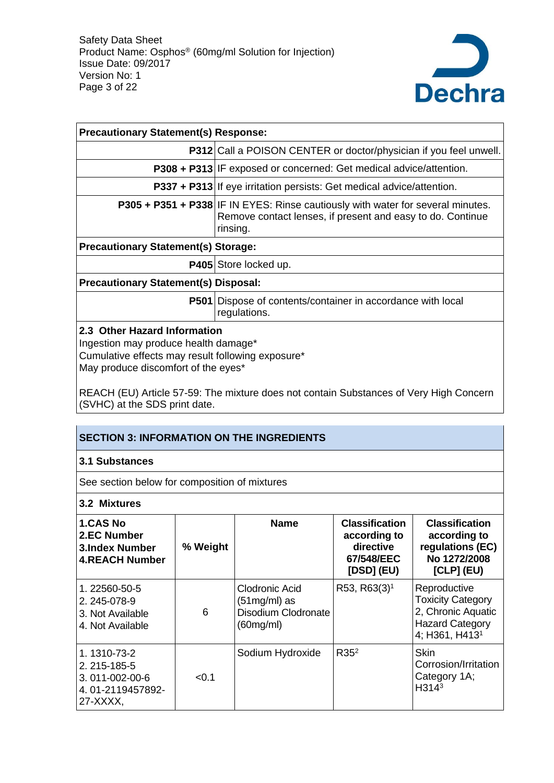

| <b>Precautionary Statement(s) Response:</b>                                                                                                                      |                                                                                                                                                                  |  |  |  |  |
|------------------------------------------------------------------------------------------------------------------------------------------------------------------|------------------------------------------------------------------------------------------------------------------------------------------------------------------|--|--|--|--|
|                                                                                                                                                                  | <b>P312</b> Call a POISON CENTER or doctor/physician if you feel unwell.                                                                                         |  |  |  |  |
|                                                                                                                                                                  | <b>P308 + P313</b> IF exposed or concerned: Get medical advice/attention.                                                                                        |  |  |  |  |
|                                                                                                                                                                  | <b>P337 + P313</b> If eye irritation persists: Get medical advice/attention.                                                                                     |  |  |  |  |
|                                                                                                                                                                  | <b>P305 + P351 + P338</b> IF IN EYES: Rinse cautiously with water for several minutes.<br>Remove contact lenses, if present and easy to do. Continue<br>rinsing. |  |  |  |  |
| <b>Precautionary Statement(s) Storage:</b>                                                                                                                       |                                                                                                                                                                  |  |  |  |  |
|                                                                                                                                                                  | <b>P405</b> Store locked up.                                                                                                                                     |  |  |  |  |
| <b>Precautionary Statement(s) Disposal:</b>                                                                                                                      |                                                                                                                                                                  |  |  |  |  |
| <b>P501</b>                                                                                                                                                      | Dispose of contents/container in accordance with local<br>regulations.                                                                                           |  |  |  |  |
| 2.3 Other Hazard Information<br>Ingestion may produce health damage*<br>Cumulative effects may result following exposure*<br>May produce discomfort of the eyes* |                                                                                                                                                                  |  |  |  |  |

REACH (EU) Article 57-59: The mixture does not contain Substances of Very High Concern (SVHC) at the SDS print date.

## **SECTION 3: INFORMATION ON THE INGREDIENTS**

#### **3.1 Substances**

See section below for composition of mixtures

**3.2 Mixtures**

| <b>1.CAS No</b><br>2.EC Number<br><b>3.Index Number</b><br><b>4.REACH Number</b> | % Weight | <b>Name</b>                                                          | <b>Classification</b><br>according to<br>directive<br>67/548/EEC<br>[DSD] (EU) | <b>Classification</b><br>according to<br>regulations (EC)<br>No 1272/2008<br>$[CLP]$ (EU)                              |
|----------------------------------------------------------------------------------|----------|----------------------------------------------------------------------|--------------------------------------------------------------------------------|------------------------------------------------------------------------------------------------------------------------|
| 1.22560-50-5<br>2.245-078-9<br>3. Not Available<br>4. Not Available              | 6        | Clodronic Acid<br>$(51mg/ml)$ as<br>Disodium Clodronate<br>(60mg/ml) | R53, R63(3) <sup>1</sup>                                                       | Reproductive<br><b>Toxicity Category</b><br>2, Chronic Aquatic<br><b>Hazard Category</b><br>4; H361, H413 <sup>1</sup> |
| 1.1310-73-2<br>2.215-185-5<br>3.011-002-00-6<br>4.01-2119457892-<br>27-XXXX,     | < 0.1    | Sodium Hydroxide                                                     | R35 <sup>2</sup>                                                               | Skin<br>Corrosion/Irritation<br>Category 1A;<br>H314 <sup>3</sup>                                                      |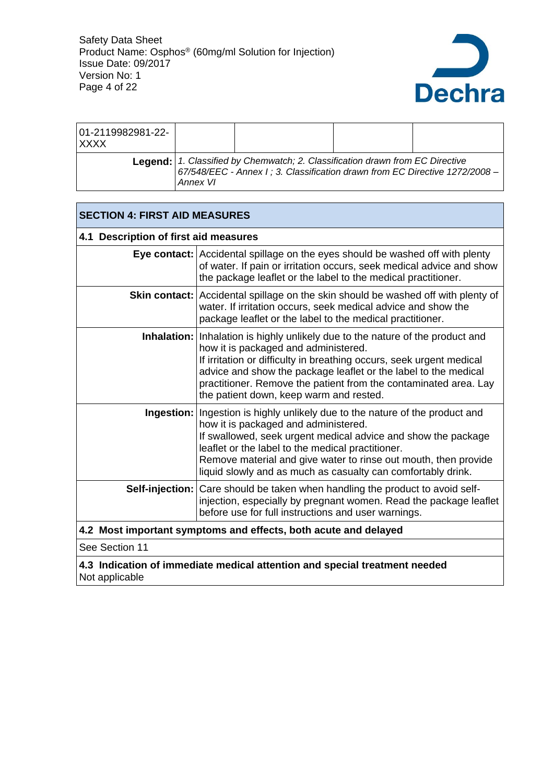

| 01-2119982981-22-<br>I XXXX |          |                                                                                                                                                                    |  |
|-----------------------------|----------|--------------------------------------------------------------------------------------------------------------------------------------------------------------------|--|
|                             | Annex VI | <b>Legend:</b> 1. Classified by Chemwatch; 2. Classification drawn from EC Directive $67/548/EEC -$ Annex I; 3. Classification drawn from EC Directive 1272/2008 – |  |

|                                                                                              | <b>SECTION 4: FIRST AID MEASURES</b>                                                                                                                                                                                                                                                                                                                                             |  |  |  |  |  |
|----------------------------------------------------------------------------------------------|----------------------------------------------------------------------------------------------------------------------------------------------------------------------------------------------------------------------------------------------------------------------------------------------------------------------------------------------------------------------------------|--|--|--|--|--|
|                                                                                              | 4.1 Description of first aid measures                                                                                                                                                                                                                                                                                                                                            |  |  |  |  |  |
|                                                                                              | <b>Eye contact:</b> Accidental spillage on the eyes should be washed off with plenty<br>of water. If pain or irritation occurs, seek medical advice and show<br>the package leaflet or the label to the medical practitioner.                                                                                                                                                    |  |  |  |  |  |
|                                                                                              | <b>Skin contact:</b> Accidental spillage on the skin should be washed off with plenty of<br>water. If irritation occurs, seek medical advice and show the<br>package leaflet or the label to the medical practitioner.                                                                                                                                                           |  |  |  |  |  |
|                                                                                              | Inhalation: Inhalation is highly unlikely due to the nature of the product and<br>how it is packaged and administered.<br>If irritation or difficulty in breathing occurs, seek urgent medical<br>advice and show the package leaflet or the label to the medical<br>practitioner. Remove the patient from the contaminated area. Lay<br>the patient down, keep warm and rested. |  |  |  |  |  |
|                                                                                              | Ingestion:   Ingestion is highly unlikely due to the nature of the product and<br>how it is packaged and administered.<br>If swallowed, seek urgent medical advice and show the package<br>leaflet or the label to the medical practitioner.<br>Remove material and give water to rinse out mouth, then provide<br>liquid slowly and as much as casualty can comfortably drink.  |  |  |  |  |  |
|                                                                                              | Self-injection: Care should be taken when handling the product to avoid self-<br>injection, especially by pregnant women. Read the package leaflet<br>before use for full instructions and user warnings.                                                                                                                                                                        |  |  |  |  |  |
|                                                                                              | 4.2 Most important symptoms and effects, both acute and delayed                                                                                                                                                                                                                                                                                                                  |  |  |  |  |  |
| See Section 11                                                                               |                                                                                                                                                                                                                                                                                                                                                                                  |  |  |  |  |  |
| 4.3 Indication of immediate medical attention and special treatment needed<br>Not applicable |                                                                                                                                                                                                                                                                                                                                                                                  |  |  |  |  |  |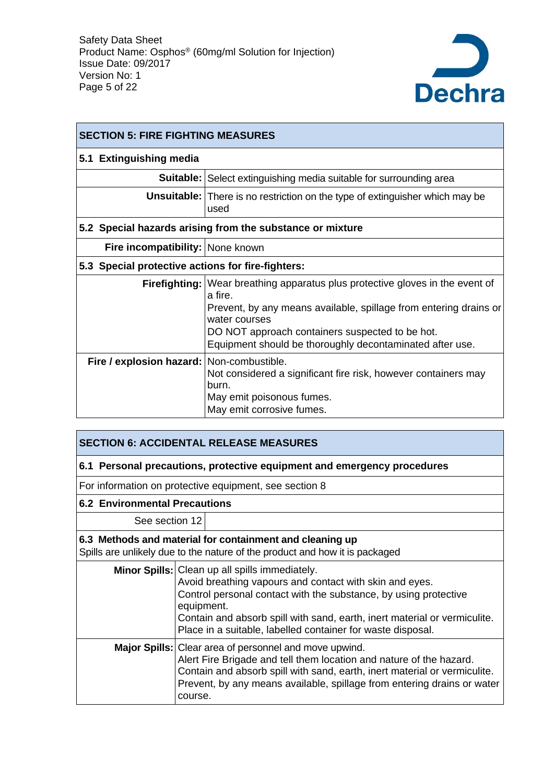

| <b>SECTION 5: FIRE FIGHTING MEASURES</b>          |                                                                                                 |  |  |  |
|---------------------------------------------------|-------------------------------------------------------------------------------------------------|--|--|--|
| 5.1 Extinguishing media                           |                                                                                                 |  |  |  |
|                                                   | <b>Suitable:</b> Select extinguishing media suitable for surrounding area                       |  |  |  |
|                                                   | <b>Unsuitable:</b> There is no restriction on the type of extinguisher which may be<br>used     |  |  |  |
|                                                   | 5.2 Special hazards arising from the substance or mixture                                       |  |  |  |
| Fire incompatibility: None known                  |                                                                                                 |  |  |  |
| 5.3 Special protective actions for fire-fighters: |                                                                                                 |  |  |  |
|                                                   | <b>Firefighting:</b> Wear breathing apparatus plus protective gloves in the event of<br>a fire. |  |  |  |
|                                                   | Prevent, by any means available, spillage from entering drains or<br>water courses              |  |  |  |
|                                                   | DO NOT approach containers suspected to be hot.                                                 |  |  |  |
|                                                   | Equipment should be thoroughly decontaminated after use.                                        |  |  |  |
| Fire / explosion hazard: Non-combustible.         | Not considered a significant fire risk, however containers may<br>burn.                         |  |  |  |
|                                                   | May emit poisonous fumes.<br>May emit corrosive fumes.                                          |  |  |  |

| <b>SECTION 6: ACCIDENTAL RELEASE MEASURES</b>                                                                                           |                                                                                                                                                                                                                                                                                                                                         |  |  |  |  |
|-----------------------------------------------------------------------------------------------------------------------------------------|-----------------------------------------------------------------------------------------------------------------------------------------------------------------------------------------------------------------------------------------------------------------------------------------------------------------------------------------|--|--|--|--|
|                                                                                                                                         | 6.1 Personal precautions, protective equipment and emergency procedures                                                                                                                                                                                                                                                                 |  |  |  |  |
|                                                                                                                                         | For information on protective equipment, see section 8                                                                                                                                                                                                                                                                                  |  |  |  |  |
| <b>6.2 Environmental Precautions</b>                                                                                                    |                                                                                                                                                                                                                                                                                                                                         |  |  |  |  |
| See section 12                                                                                                                          |                                                                                                                                                                                                                                                                                                                                         |  |  |  |  |
| 6.3 Methods and material for containment and cleaning up<br>Spills are unlikely due to the nature of the product and how it is packaged |                                                                                                                                                                                                                                                                                                                                         |  |  |  |  |
|                                                                                                                                         | Minor Spills: Clean up all spills immediately.<br>Avoid breathing vapours and contact with skin and eyes.<br>Control personal contact with the substance, by using protective<br>equipment.<br>Contain and absorb spill with sand, earth, inert material or vermiculite.<br>Place in a suitable, labelled container for waste disposal. |  |  |  |  |
|                                                                                                                                         | Major Spills: Clear area of personnel and move upwind.<br>Alert Fire Brigade and tell them location and nature of the hazard.<br>Contain and absorb spill with sand, earth, inert material or vermiculite.<br>Prevent, by any means available, spillage from entering drains or water<br>course.                                        |  |  |  |  |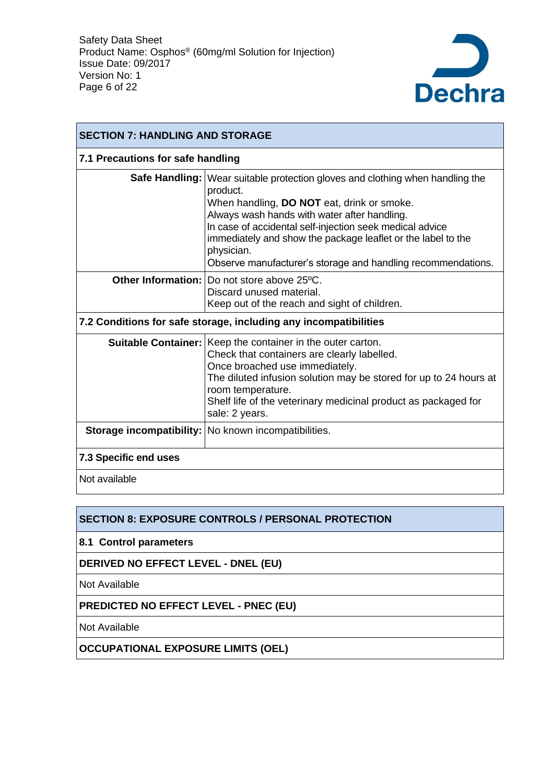

| <b>SECTION 7: HANDLING AND STORAGE</b>                           |                                                                                                                                                                                                                                                                                                                                                                                                     |  |  |  |  |  |
|------------------------------------------------------------------|-----------------------------------------------------------------------------------------------------------------------------------------------------------------------------------------------------------------------------------------------------------------------------------------------------------------------------------------------------------------------------------------------------|--|--|--|--|--|
|                                                                  | 7.1 Precautions for safe handling                                                                                                                                                                                                                                                                                                                                                                   |  |  |  |  |  |
|                                                                  | Safe Handling:   Wear suitable protection gloves and clothing when handling the<br>product.<br>When handling, DO NOT eat, drink or smoke.<br>Always wash hands with water after handling.<br>In case of accidental self-injection seek medical advice<br>immediately and show the package leaflet or the label to the<br>physician.<br>Observe manufacturer's storage and handling recommendations. |  |  |  |  |  |
|                                                                  | <b>Other Information: Do not store above 25 °C.</b><br>Discard unused material.<br>Keep out of the reach and sight of children.                                                                                                                                                                                                                                                                     |  |  |  |  |  |
| 7.2 Conditions for safe storage, including any incompatibilities |                                                                                                                                                                                                                                                                                                                                                                                                     |  |  |  |  |  |
|                                                                  | <b>Suitable Container:</b> Keep the container in the outer carton.<br>Check that containers are clearly labelled.<br>Once broached use immediately.<br>The diluted infusion solution may be stored for up to 24 hours at<br>room temperature.<br>Shelf life of the veterinary medicinal product as packaged for<br>sale: 2 years.                                                                   |  |  |  |  |  |
|                                                                  | Storage incompatibility:   No known incompatibilities.                                                                                                                                                                                                                                                                                                                                              |  |  |  |  |  |
| 7.3 Specific end uses                                            |                                                                                                                                                                                                                                                                                                                                                                                                     |  |  |  |  |  |
| Not available                                                    |                                                                                                                                                                                                                                                                                                                                                                                                     |  |  |  |  |  |

## **SECTION 8: EXPOSURE CONTROLS / PERSONAL PROTECTION**

**8.1 Control parameters**

**DERIVED NO EFFECT LEVEL - DNEL (EU)**

Not Available

**PREDICTED NO EFFECT LEVEL - PNEC (EU)**

Not Available

**OCCUPATIONAL EXPOSURE LIMITS (OEL)**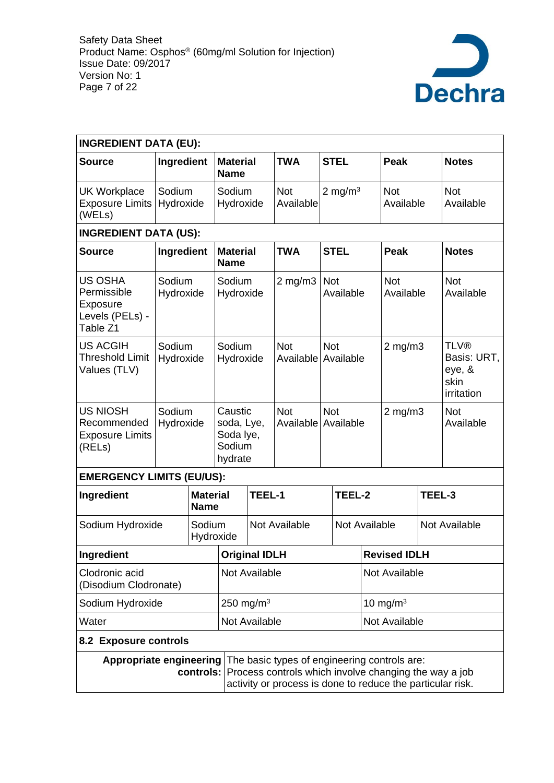

| <b>INGREDIENT DATA (EU):</b>                                             |                     |                     |                                                         |                      |                                                                                                                                                                     |               |                  |                     |                         |  |                                                            |
|--------------------------------------------------------------------------|---------------------|---------------------|---------------------------------------------------------|----------------------|---------------------------------------------------------------------------------------------------------------------------------------------------------------------|---------------|------------------|---------------------|-------------------------|--|------------------------------------------------------------|
| <b>Source</b>                                                            | Ingredient          |                     | <b>Material</b><br><b>Name</b>                          |                      | <b>TWA</b>                                                                                                                                                          |               | <b>STEL</b>      |                     | <b>Peak</b>             |  | <b>Notes</b>                                               |
| <b>UK Workplace</b><br>Exposure Limits<br>(WELs)                         | Sodium<br>Hydroxide |                     | Sodium<br>Hydroxide                                     |                      | <b>Not</b><br>Available                                                                                                                                             |               | 2 mg/m $3$       |                     | <b>Not</b><br>Available |  | <b>Not</b><br>Available                                    |
| <b>INGREDIENT DATA (US):</b>                                             |                     |                     |                                                         |                      |                                                                                                                                                                     |               |                  |                     |                         |  |                                                            |
| <b>Source</b>                                                            | Ingredient          |                     | <b>Material</b><br><b>Name</b>                          |                      | <b>TWA</b>                                                                                                                                                          |               | <b>STEL</b>      |                     | Peak                    |  | <b>Notes</b>                                               |
| <b>US OSHA</b><br>Permissible<br>Exposure<br>Levels (PELs) -<br>Table Z1 | Sodium<br>Hydroxide |                     | Sodium<br>Hydroxide                                     |                      | $2 \text{ mg/m}$ 3                                                                                                                                                  |               | Not<br>Available |                     | <b>Not</b><br>Available |  | <b>Not</b><br>Available                                    |
| <b>US ACGIH</b><br><b>Threshold Limit</b><br>Values (TLV)                | Sodium              | Sodium<br>Hydroxide |                                                         | Hydroxide            | <b>Not</b><br>Available Available                                                                                                                                   |               | <b>Not</b>       |                     | $2$ mg/m $3$            |  | <b>TLV®</b><br>Basis: URT,<br>eye, &<br>skin<br>irritation |
| <b>US NIOSH</b><br>Recommended<br><b>Exposure Limits</b><br>(RELs)       | Sodium<br>Hydroxide |                     | Caustic<br>soda, Lye,<br>Soda lye,<br>Sodium<br>hydrate |                      | <b>Not</b><br>Available Available                                                                                                                                   |               | <b>Not</b>       |                     | $2$ mg/m $3$            |  | <b>Not</b><br>Available                                    |
| <b>EMERGENCY LIMITS (EU/US):</b>                                         |                     |                     |                                                         |                      |                                                                                                                                                                     |               |                  |                     |                         |  |                                                            |
| <b>Material</b><br>Ingredient<br><b>Name</b>                             |                     |                     | TEEL-1                                                  |                      |                                                                                                                                                                     | TEEL-2        |                  | TEEL-3              |                         |  |                                                            |
| Sodium Hydroxide<br>Sodium<br>Hydroxide                                  |                     |                     | Not Available                                           |                      |                                                                                                                                                                     | Not Available |                  |                     | Not Available           |  |                                                            |
| Ingredient                                                               |                     |                     |                                                         | <b>Original IDLH</b> |                                                                                                                                                                     |               |                  | <b>Revised IDLH</b> |                         |  |                                                            |
| Clodronic acid<br>(Disodium Clodronate)                                  |                     |                     | Not Available                                           |                      |                                                                                                                                                                     |               | Not Available    |                     |                         |  |                                                            |
| Sodium Hydroxide                                                         |                     |                     | 250 mg/m $3$                                            |                      |                                                                                                                                                                     | 10 mg/m $3$   |                  |                     |                         |  |                                                            |
| Water                                                                    |                     |                     | Not Available<br>Not Available                          |                      |                                                                                                                                                                     |               |                  |                     |                         |  |                                                            |
| 8.2 Exposure controls                                                    |                     |                     |                                                         |                      |                                                                                                                                                                     |               |                  |                     |                         |  |                                                            |
| Appropriate engineering<br>controls:                                     |                     |                     |                                                         |                      | The basic types of engineering controls are:<br>Process controls which involve changing the way a job<br>activity or process is done to reduce the particular risk. |               |                  |                     |                         |  |                                                            |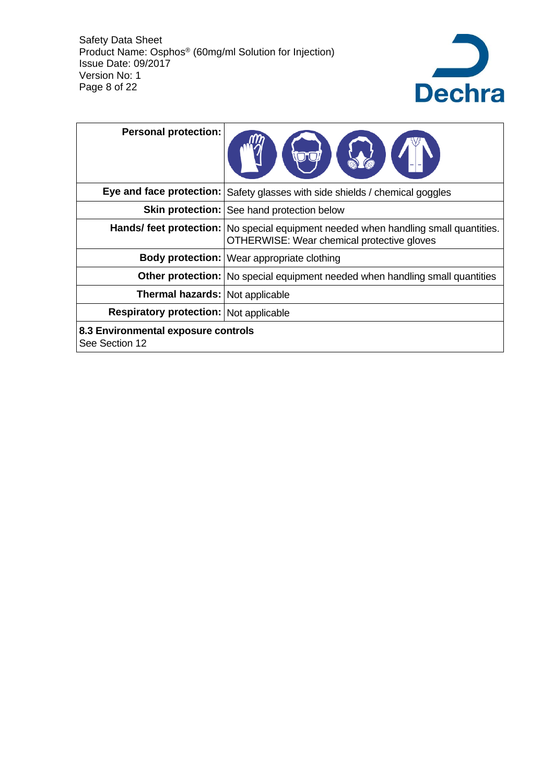

| <b>Personal protection:</b>                           |                                                                                                                                     |
|-------------------------------------------------------|-------------------------------------------------------------------------------------------------------------------------------------|
|                                                       | Eye and face protection: Safety glasses with side shields / chemical goggles                                                        |
|                                                       | Skin protection:   See hand protection below                                                                                        |
|                                                       | Hands/ feet protection:   No special equipment needed when handling small quantities.<br>OTHERWISE: Wear chemical protective gloves |
|                                                       | Body protection:   Wear appropriate clothing                                                                                        |
|                                                       | <b>Other protection:</b> No special equipment needed when handling small quantities                                                 |
| <b>Thermal hazards: Not applicable</b>                |                                                                                                                                     |
| <b>Respiratory protection: Not applicable</b>         |                                                                                                                                     |
| 8.3 Environmental exposure controls<br>See Section 12 |                                                                                                                                     |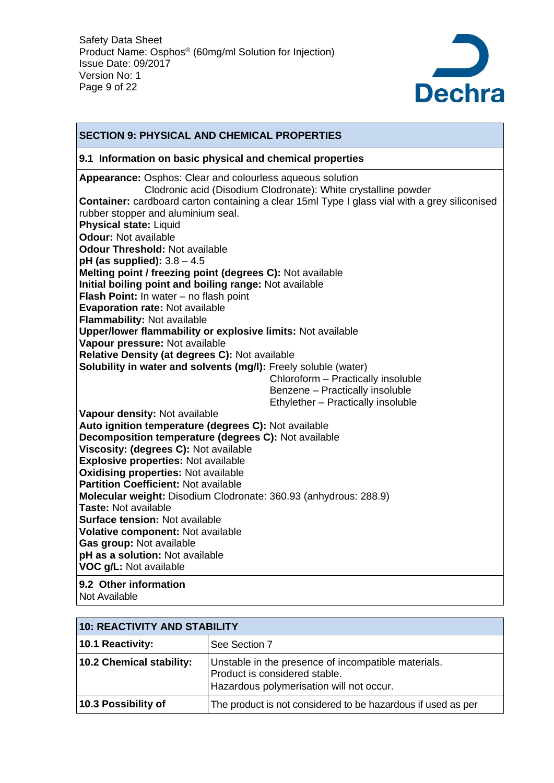

#### **SECTION 9: PHYSICAL AND CHEMICAL PROPERTIES 9.1 Information on basic physical and chemical properties Appearance:** Osphos: Clear and colourless aqueous solution Clodronic acid (Disodium Clodronate): White crystalline powder **Container:** cardboard carton containing a clear 15ml Type I glass vial with a grey siliconised rubber stopper and aluminium seal. **Physical state:** Liquid **Odour:** Not available **Odour Threshold:** Not available **pH (as supplied):** 3.8 – 4.5 **Melting point / freezing point (degrees C):** Not available **Initial boiling point and boiling range:** Not available **Flash Point:** In water – no flash point **Evaporation rate:** Not available **Flammability:** Not available **Upper/lower flammability or explosive limits:** Not available **Vapour pressure:** Not available **Relative Density (at degrees C):** Not available **Solubility in water and solvents (mg/l):** Freely soluble (water) Chloroform – Practically insoluble Benzene – Practically insoluble Ethylether – Practically insoluble **Vapour density:** Not available **Auto ignition temperature (degrees C):** Not available **Decomposition temperature (degrees C):** Not available **Viscosity: (degrees C):** Not available **Explosive properties:** Not available **Oxidising properties:** Not available **Partition Coefficient:** Not available **Molecular weight:** Disodium Clodronate: 360.93 (anhydrous: 288.9) **Taste:** Not available **Surface tension:** Not available **Volative component:** Not available **Gas group:** Not available **pH as a solution:** Not available **VOC g/L:** Not available **9.2 Other information** Not Available

| 10: REACTIVITY AND STABILITY |                                                                                                                                  |  |  |  |
|------------------------------|----------------------------------------------------------------------------------------------------------------------------------|--|--|--|
| 10.1 Reactivity:             | See Section 7                                                                                                                    |  |  |  |
| 10.2 Chemical stability:     | Unstable in the presence of incompatible materials.<br>Product is considered stable.<br>Hazardous polymerisation will not occur. |  |  |  |
| 10.3 Possibility of          | The product is not considered to be hazardous if used as per                                                                     |  |  |  |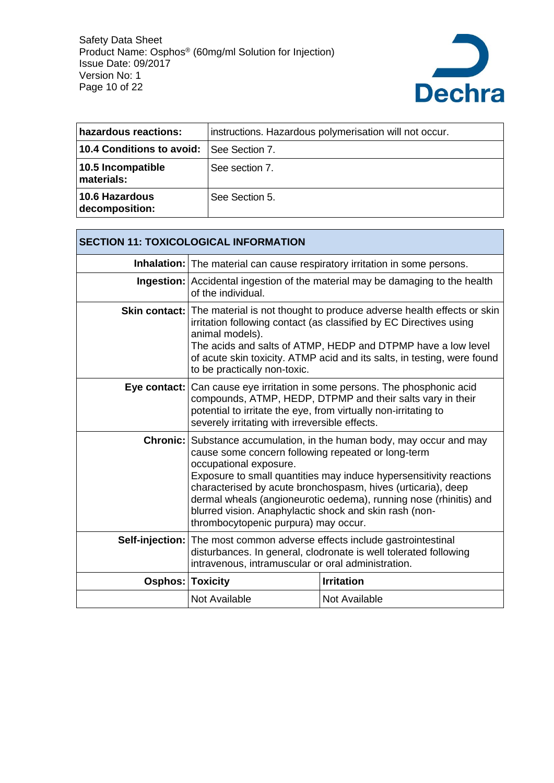

| hazardous reactions:             | instructions. Hazardous polymerisation will not occur. |
|----------------------------------|--------------------------------------------------------|
| 10.4 Conditions to avoid:        | <b>See Section 7.</b>                                  |
| 10.5 Incompatible<br>materials:  | See section 7.                                         |
| 10.6 Hazardous<br>decomposition: | See Section 5.                                         |

| <b>SECTION 11: TOXICOLOGICAL INFORMATION</b> |                                                                                                                                                                                                                                                                                                                                                                                                                                                                           |                                                                                                                                                                                                                                                                                                             |  |
|----------------------------------------------|---------------------------------------------------------------------------------------------------------------------------------------------------------------------------------------------------------------------------------------------------------------------------------------------------------------------------------------------------------------------------------------------------------------------------------------------------------------------------|-------------------------------------------------------------------------------------------------------------------------------------------------------------------------------------------------------------------------------------------------------------------------------------------------------------|--|
|                                              |                                                                                                                                                                                                                                                                                                                                                                                                                                                                           | Inhalation: The material can cause respiratory irritation in some persons.                                                                                                                                                                                                                                  |  |
|                                              | <b>Ingestion:</b> Accidental ingestion of the material may be damaging to the health<br>of the individual.                                                                                                                                                                                                                                                                                                                                                                |                                                                                                                                                                                                                                                                                                             |  |
|                                              | animal models).<br>to be practically non-toxic.                                                                                                                                                                                                                                                                                                                                                                                                                           | <b>Skin contact:</b> The material is not thought to produce adverse health effects or skin<br>irritation following contact (as classified by EC Directives using<br>The acids and salts of ATMP, HEDP and DTPMP have a low level<br>of acute skin toxicity. ATMP acid and its salts, in testing, were found |  |
|                                              | <b>Eye contact:</b> Can cause eye irritation in some persons. The phosphonic acid<br>compounds, ATMP, HEDP, DTPMP and their salts vary in their<br>potential to irritate the eye, from virtually non-irritating to<br>severely irritating with irreversible effects.                                                                                                                                                                                                      |                                                                                                                                                                                                                                                                                                             |  |
|                                              | <b>Chronic:</b> Substance accumulation, in the human body, may occur and may<br>cause some concern following repeated or long-term<br>occupational exposure.<br>Exposure to small quantities may induce hypersensitivity reactions<br>characterised by acute bronchospasm, hives (urticaria), deep<br>dermal wheals (angioneurotic oedema), running nose (rhinitis) and<br>blurred vision. Anaphylactic shock and skin rash (non-<br>thrombocytopenic purpura) may occur. |                                                                                                                                                                                                                                                                                                             |  |
|                                              | <b>Self-injection:</b> The most common adverse effects include gastrointestinal<br>disturbances. In general, clodronate is well tolerated following<br>intravenous, intramuscular or oral administration.                                                                                                                                                                                                                                                                 |                                                                                                                                                                                                                                                                                                             |  |
| <b>Osphos: Toxicity</b>                      |                                                                                                                                                                                                                                                                                                                                                                                                                                                                           | <b>Irritation</b>                                                                                                                                                                                                                                                                                           |  |
|                                              | Not Available                                                                                                                                                                                                                                                                                                                                                                                                                                                             | Not Available                                                                                                                                                                                                                                                                                               |  |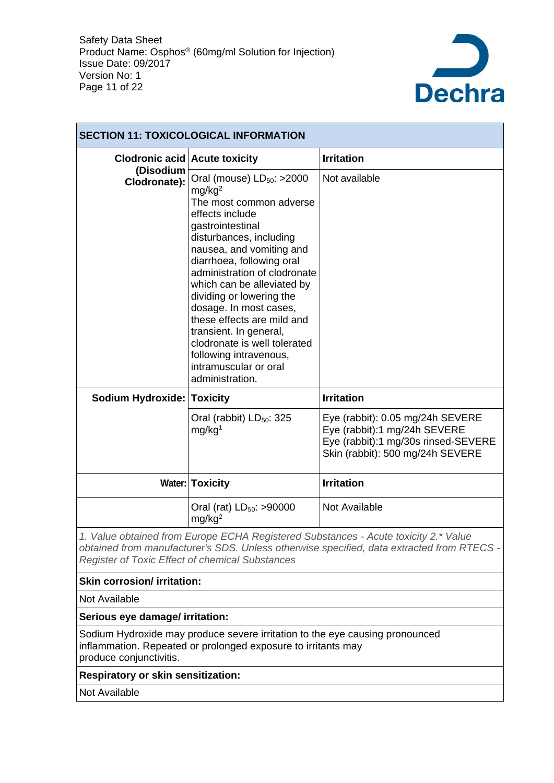

| <b>SECTION 11: TOXICOLOGICAL INFORMATION</b> |                                                                                                                                                                                                                                                                                                                                                                                                                                                                                              |                                                                                                                                             |  |
|----------------------------------------------|----------------------------------------------------------------------------------------------------------------------------------------------------------------------------------------------------------------------------------------------------------------------------------------------------------------------------------------------------------------------------------------------------------------------------------------------------------------------------------------------|---------------------------------------------------------------------------------------------------------------------------------------------|--|
| <b>Clodronic acid Acute toxicity</b>         |                                                                                                                                                                                                                                                                                                                                                                                                                                                                                              | <b>Irritation</b>                                                                                                                           |  |
| (Disodium<br>Clodronate):                    | Oral (mouse) $LD_{50}$ : >2000<br>mg/kg <sup>2</sup><br>The most common adverse<br>effects include<br>gastrointestinal<br>disturbances, including<br>nausea, and vomiting and<br>diarrhoea, following oral<br>administration of clodronate<br>which can be alleviated by<br>dividing or lowering the<br>dosage. In most cases,<br>these effects are mild and<br>transient. In general,<br>clodronate is well tolerated<br>following intravenous,<br>intramuscular or oral<br>administration. | Not available                                                                                                                               |  |
| <b>Sodium Hydroxide: Toxicity</b>            |                                                                                                                                                                                                                                                                                                                                                                                                                                                                                              | <b>Irritation</b>                                                                                                                           |  |
|                                              | Oral (rabbit) LD <sub>50</sub> : 325<br>mg/kg <sup>1</sup>                                                                                                                                                                                                                                                                                                                                                                                                                                   | Eye (rabbit): 0.05 mg/24h SEVERE<br>Eye (rabbit):1 mg/24h SEVERE<br>Eye (rabbit):1 mg/30s rinsed-SEVERE<br>Skin (rabbit): 500 mg/24h SEVERE |  |
|                                              | <b>Water: Toxicity</b>                                                                                                                                                                                                                                                                                                                                                                                                                                                                       | <b>Irritation</b>                                                                                                                           |  |
|                                              | Oral (rat) LD <sub>50</sub> : >90000<br>mg/kg <sup>2</sup>                                                                                                                                                                                                                                                                                                                                                                                                                                   | Not Available                                                                                                                               |  |

*1. Value obtained from Europe ECHA Registered Substances - Acute toxicity 2.\* Value obtained from manufacturer's SDS. Unless otherwise specified, data extracted from RTECS - Register of Toxic Effect of chemical Substances*

#### **Skin corrosion/ irritation:**

Not Available

**Serious eye damage/ irritation:**

Sodium Hydroxide may produce severe irritation to the eye causing pronounced inflammation. Repeated or prolonged exposure to irritants may produce conjunctivitis.

**Respiratory or skin sensitization:**

Not Available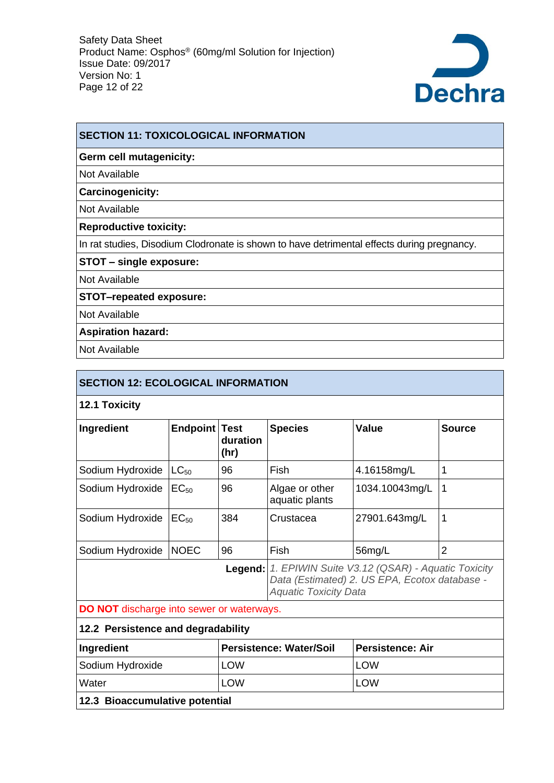

#### **SECTION 11: TOXICOLOGICAL INFORMATION**

#### **Germ cell mutagenicity:**

Not Available

**Carcinogenicity:**

Not Available

**Reproductive toxicity:**

In rat studies, Disodium Clodronate is shown to have detrimental effects during pregnancy.

**STOT – single exposure:**

Not Available

**STOT–repeated exposure:**

Not Available

**Aspiration hazard:**

Not Available

| <b>SECTION 12: ECOLOGICAL INFORMATION</b>                               |                      |                                                                                                                                          |                                  |                |                |
|-------------------------------------------------------------------------|----------------------|------------------------------------------------------------------------------------------------------------------------------------------|----------------------------------|----------------|----------------|
| 12.1 Toxicity                                                           |                      |                                                                                                                                          |                                  |                |                |
| Ingredient                                                              | <b>Endpoint Test</b> | duration<br>(hr)                                                                                                                         | <b>Species</b>                   | <b>Value</b>   | <b>Source</b>  |
| Sodium Hydroxide                                                        | $LC_{50}$            | 96                                                                                                                                       | Fish                             | 4.16158mg/L    | 1              |
| Sodium Hydroxide                                                        | $EC_{50}$            | 96                                                                                                                                       | Algae or other<br>aquatic plants | 1034.10043mg/L | 1              |
| Sodium Hydroxide                                                        | EC <sub>50</sub>     | 384                                                                                                                                      | Crustacea                        | 27901.643mg/L  | 1              |
| Sodium Hydroxide                                                        | <b>NOEC</b>          | 96                                                                                                                                       | Fish                             | 56mg/L         | $\overline{2}$ |
|                                                                         |                      | Legend: 1. EPIWIN Suite V3.12 (QSAR) - Aquatic Toxicity<br>Data (Estimated) 2. US EPA, Ecotox database -<br><b>Aquatic Toxicity Data</b> |                                  |                |                |
| DO NOT discharge into sewer or waterways.                               |                      |                                                                                                                                          |                                  |                |                |
| 12.2 Persistence and degradability                                      |                      |                                                                                                                                          |                                  |                |                |
| <b>Persistence: Air</b><br>Ingredient<br><b>Persistence: Water/Soil</b> |                      |                                                                                                                                          |                                  |                |                |
| Codium Hydrovido<br>$\sim$                                              |                      |                                                                                                                                          | ווורו                            |                |                |

| Ingredient                     | <b>Persistence: Water/Soil</b> | l Persistence: Air |
|--------------------------------|--------------------------------|--------------------|
| Sodium Hydroxide               | LOW                            | LOW                |
| l Water                        | LOW                            | LOW                |
| 12.3 Bioaccumulative potential |                                |                    |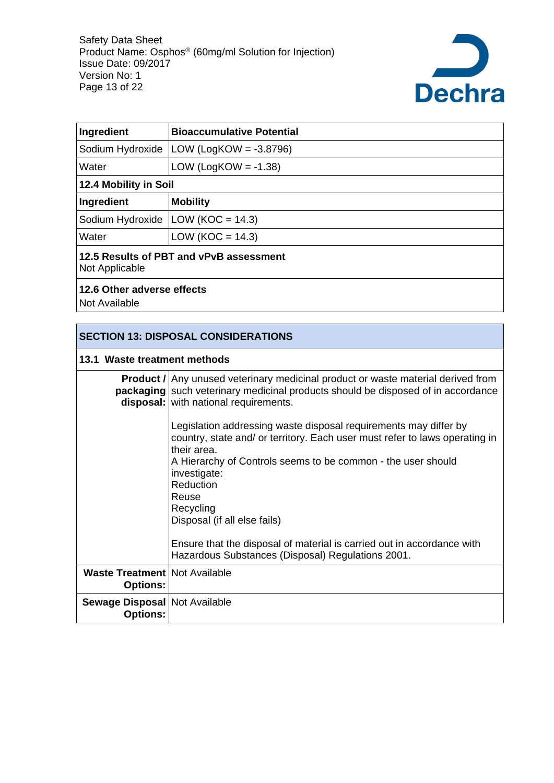

| Ingredient                                                | <b>Bioaccumulative Potential</b> |  |
|-----------------------------------------------------------|----------------------------------|--|
| Sodium Hydroxide                                          | LOW (LogKOW = $-3.8796$ )        |  |
| Water                                                     | LOW (LogKOW = $-1.38$ )          |  |
| 12.4 Mobility in Soil                                     |                                  |  |
| Ingredient                                                | <b>Mobility</b>                  |  |
| Sodium Hydroxide                                          | LOW ( $KOC = 14.3$ )             |  |
| Water                                                     | LOW ( $KOC = 14.3$ )             |  |
| 12.5 Results of PBT and vPvB assessment<br>Not Applicable |                                  |  |
| 12.6 Other adverse effects<br>Not Available               |                                  |  |

| <b>SECTION 13: DISPOSAL CONSIDERATIONS</b>                |                                                                                                                                                                                                                             |  |
|-----------------------------------------------------------|-----------------------------------------------------------------------------------------------------------------------------------------------------------------------------------------------------------------------------|--|
| 13.1 Waste treatment methods                              |                                                                                                                                                                                                                             |  |
|                                                           | <b>Product</b> / Any unused veterinary medicinal product or waste material derived from<br><b>packaging</b> such veterinary medicinal products should be disposed of in accordance<br>disposal: with national requirements. |  |
|                                                           | Legislation addressing waste disposal requirements may differ by<br>country, state and/ or territory. Each user must refer to laws operating in<br>their area.                                                              |  |
|                                                           | A Hierarchy of Controls seems to be common - the user should<br>investigate:<br>Reduction                                                                                                                                   |  |
|                                                           | Reuse<br>Recycling<br>Disposal (if all else fails)                                                                                                                                                                          |  |
|                                                           | Ensure that the disposal of material is carried out in accordance with<br>Hazardous Substances (Disposal) Regulations 2001.                                                                                                 |  |
| <b>Waste Treatment   Not Available</b><br><b>Options:</b> |                                                                                                                                                                                                                             |  |
| Sewage Disposal   Not Available<br><b>Options:</b>        |                                                                                                                                                                                                                             |  |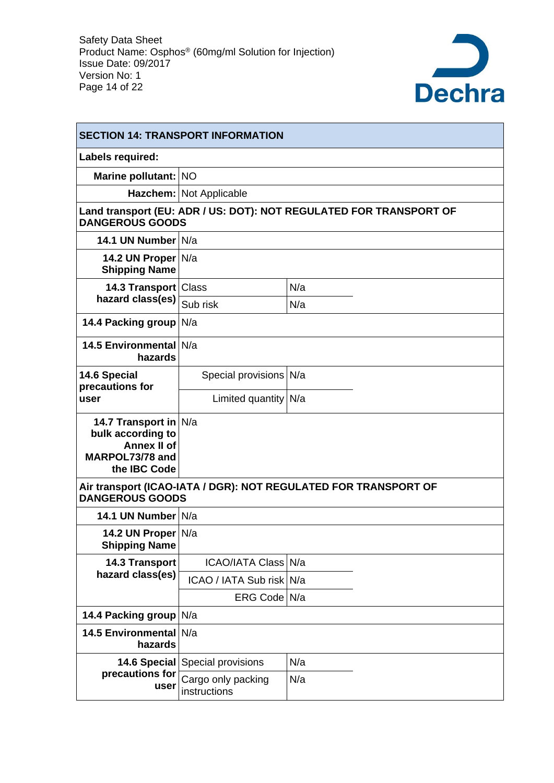

| <b>SECTION 14: TRANSPORT INFORMATION</b>                                                            |                                        |                                                                    |  |
|-----------------------------------------------------------------------------------------------------|----------------------------------------|--------------------------------------------------------------------|--|
| Labels required:                                                                                    |                                        |                                                                    |  |
| Marine pollutant: NO                                                                                |                                        |                                                                    |  |
|                                                                                                     | Hazchem: Not Applicable                |                                                                    |  |
| <b>DANGEROUS GOODS</b>                                                                              |                                        | Land transport (EU: ADR / US: DOT): NOT REGULATED FOR TRANSPORT OF |  |
| 14.1 UN Number N/a                                                                                  |                                        |                                                                    |  |
| 14.2 UN Proper N/a<br><b>Shipping Name</b>                                                          |                                        |                                                                    |  |
| 14.3 Transport   Class                                                                              |                                        | N/a                                                                |  |
| hazard class(es)                                                                                    | Sub risk                               | N/a                                                                |  |
| <b>14.4 Packing group</b>                                                                           | N/a                                    |                                                                    |  |
| <b>14.5 Environmental</b><br>hazards                                                                | N/a                                    |                                                                    |  |
| 14.6 Special<br>precautions for                                                                     | Special provisions N/a                 |                                                                    |  |
| user                                                                                                | Limited quantity $N/a$                 |                                                                    |  |
| 14.7 Transport in N/a<br>bulk according to<br><b>Annex II of</b><br>MARPOL73/78 and<br>the IBC Code |                                        |                                                                    |  |
| <b>DANGEROUS GOODS</b>                                                                              |                                        | Air transport (ICAO-IATA / DGR): NOT REGULATED FOR TRANSPORT OF    |  |
| 14.1 UN Number N/a                                                                                  |                                        |                                                                    |  |
| 14.2 UN Proper N/a<br><b>Shipping Name</b>                                                          |                                        |                                                                    |  |
| 14.3 Transport                                                                                      | ICAO/IATA Class N/a                    |                                                                    |  |
| hazard class(es)                                                                                    | ICAO / IATA Sub risk N/a               |                                                                    |  |
|                                                                                                     | ERG Code   N/a                         |                                                                    |  |
| 14.4 Packing group                                                                                  | N/a                                    |                                                                    |  |
| <b>14.5 Environmental</b><br>hazards                                                                | N/a                                    |                                                                    |  |
|                                                                                                     | <b>14.6 Special Special provisions</b> | N/a                                                                |  |
| precautions for<br>user                                                                             | Cargo only packing<br>instructions     | N/a                                                                |  |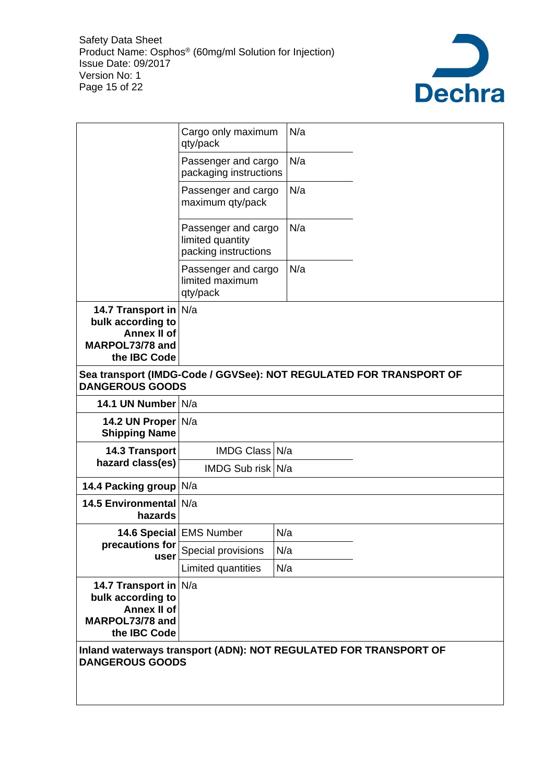

|                                                                                                     | Cargo only maximum<br>qty/pack                                  | N/a                                                                |
|-----------------------------------------------------------------------------------------------------|-----------------------------------------------------------------|--------------------------------------------------------------------|
|                                                                                                     | Passenger and cargo<br>packaging instructions                   | N/a                                                                |
|                                                                                                     | Passenger and cargo<br>maximum qty/pack                         | N/a                                                                |
|                                                                                                     | Passenger and cargo<br>limited quantity<br>packing instructions | N/a                                                                |
|                                                                                                     | Passenger and cargo<br>limited maximum<br>qty/pack              | N/a                                                                |
| 14.7 Transport in N/a<br>bulk according to<br><b>Annex II of</b><br>MARPOL73/78 and<br>the IBC Code |                                                                 |                                                                    |
| <b>DANGEROUS GOODS</b>                                                                              |                                                                 | Sea transport (IMDG-Code / GGVSee): NOT REGULATED FOR TRANSPORT OF |
| 14.1 UN Number N/a                                                                                  |                                                                 |                                                                    |
| 14.2 UN Proper N/a                                                                                  |                                                                 |                                                                    |
| <b>Shipping Name</b>                                                                                |                                                                 |                                                                    |
| <b>14.3 Transport</b>                                                                               | IMDG Class N/a                                                  |                                                                    |
| hazard class(es)                                                                                    | IMDG Sub risk N/a                                               |                                                                    |
| 14.4 Packing group N/a                                                                              |                                                                 |                                                                    |
| 14.5 Environmental N/a<br>hazards                                                                   |                                                                 |                                                                    |
|                                                                                                     | 14.6 Special   EMS Number                                       | N/a                                                                |
| precautions for<br>user                                                                             | Special provisions                                              | N/a                                                                |
|                                                                                                     | Limited quantities                                              | N/a                                                                |
| 14.7 Transport in N/a<br>bulk according to<br><b>Annex II of</b><br>MARPOL73/78 and<br>the IBC Code |                                                                 |                                                                    |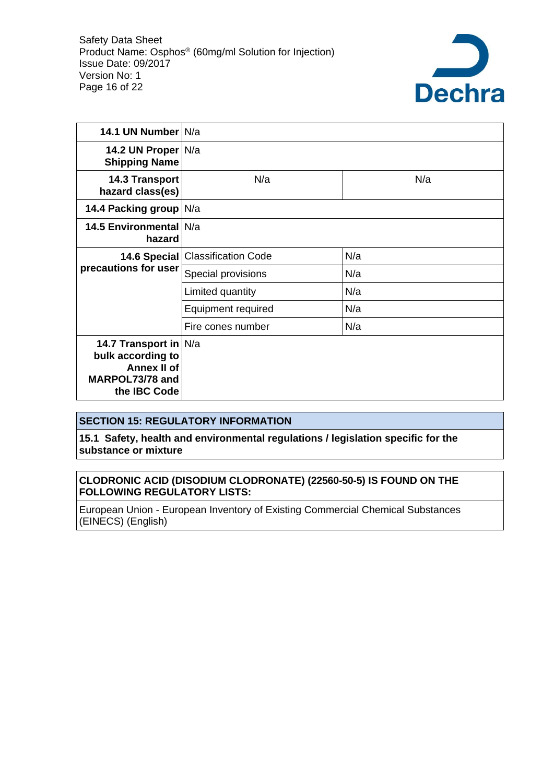

| 14.1 UN Number N/a                                                                                  |                                    |     |
|-----------------------------------------------------------------------------------------------------|------------------------------------|-----|
| 14.2 UN Proper   N/a<br><b>Shipping Name</b>                                                        |                                    |     |
| <b>14.3 Transport</b><br>hazard class(es)                                                           | N/a                                | N/a |
| 14.4 Packing group N/a                                                                              |                                    |     |
| 14.5 Environmental N/a<br>hazard                                                                    |                                    |     |
|                                                                                                     | 14.6 Special   Classification Code | N/a |
| precautions for user                                                                                | Special provisions                 | N/a |
|                                                                                                     | Limited quantity                   | N/a |
|                                                                                                     | Equipment required                 | N/a |
|                                                                                                     | Fire cones number                  | N/a |
| 14.7 Transport in N/a<br>bulk according to<br><b>Annex II of</b><br>MARPOL73/78 and<br>the IBC Code |                                    |     |

#### **SECTION 15: REGULATORY INFORMATION**

**15.1 Safety, health and environmental regulations / legislation specific for the substance or mixture**

#### **CLODRONIC ACID (DISODIUM CLODRONATE) (22560-50-5) IS FOUND ON THE FOLLOWING REGULATORY LISTS:**

European Union - European Inventory of Existing Commercial Chemical Substances (EINECS) (English)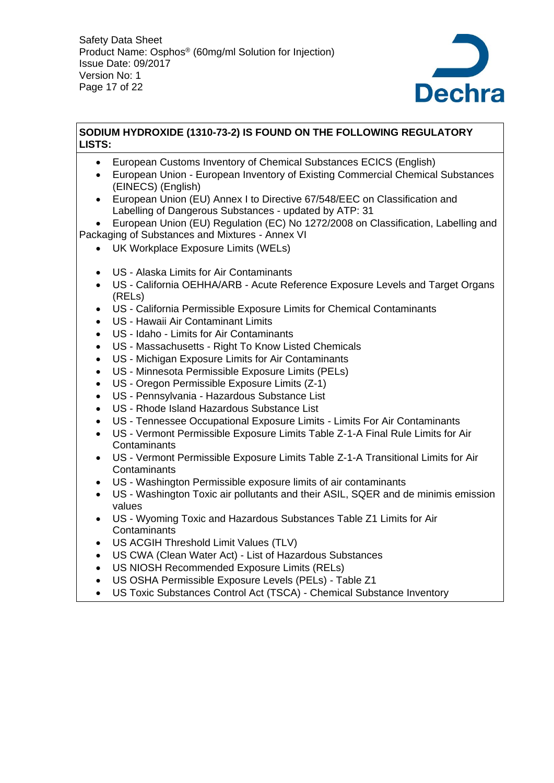

## **SODIUM HYDROXIDE (1310-73-2) IS FOUND ON THE FOLLOWING REGULATORY LISTS:**

- European Customs Inventory of Chemical Substances ECICS (English)
- European Union European Inventory of Existing Commercial Chemical Substances (EINECS) (English)
- European Union (EU) Annex I to Directive 67/548/EEC on Classification and Labelling of Dangerous Substances - updated by ATP: 31
- European Union (EU) Regulation (EC) No 1272/2008 on Classification, Labelling and Packaging of Substances and Mixtures - Annex VI
	- UK Workplace Exposure Limits (WELs)
	- US Alaska Limits for Air Contaminants
	- US California OEHHA/ARB Acute Reference Exposure Levels and Target Organs (RELs)
	- US California Permissible Exposure Limits for Chemical Contaminants
	- US Hawaii Air Contaminant Limits
	- US Idaho Limits for Air Contaminants
	- US Massachusetts Right To Know Listed Chemicals
	- US Michigan Exposure Limits for Air Contaminants
	- US Minnesota Permissible Exposure Limits (PELs)
	- US Oregon Permissible Exposure Limits (Z-1)
	- US Pennsylvania Hazardous Substance List
	- US Rhode Island Hazardous Substance List
	- US Tennessee Occupational Exposure Limits Limits For Air Contaminants
	- US Vermont Permissible Exposure Limits Table Z-1-A Final Rule Limits for Air Contaminants
	- US Vermont Permissible Exposure Limits Table Z-1-A Transitional Limits for Air **Contaminants**
	- US Washington Permissible exposure limits of air contaminants
	- US Washington Toxic air pollutants and their ASIL, SQER and de minimis emission values
	- US Wyoming Toxic and Hazardous Substances Table Z1 Limits for Air **Contaminants**
	- US ACGIH Threshold Limit Values (TLV)
	- US CWA (Clean Water Act) List of Hazardous Substances
	- US NIOSH Recommended Exposure Limits (RELs)
	- US OSHA Permissible Exposure Levels (PELs) Table Z1
	- US Toxic Substances Control Act (TSCA) Chemical Substance Inventory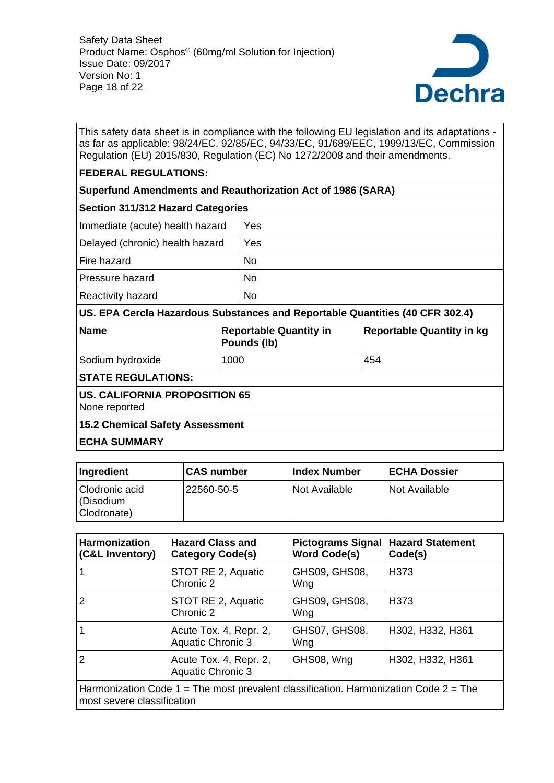

This safety data sheet is in compliance with the following EU legislation and its adaptations as far as applicable: 98/24/EC, 92/85/EC, 94/33/EC, 91/689/EEC, 1999/13/EC, Commission Regulation (EU) 2015/830, Regulation (EC) No 1272/2008 and their amendments.

#### **FEDERAL REGULATIONS:**

# **Superfund Amendments and Reauthorization Act of 1986 (SARA)**

| <b>Section 311/312 Hazard Categories</b> |     |  |
|------------------------------------------|-----|--|
| Immediate (acute) health hazard          | Yes |  |
| Delayed (chronic) health hazard          | Yes |  |
| Fire hazard                              | No  |  |
| Pressure hazard                          | No  |  |
| Reactivity hazard                        | No  |  |
|                                          |     |  |

**US. EPA Cercla Hazardous Substances and Reportable Quantities (40 CFR 302.4)**

| <b>Name</b>      | <b>Reportable Quantity in</b><br>Pounds (lb) | <b>Reportable Quantity in kg</b> |
|------------------|----------------------------------------------|----------------------------------|
| Sodium hydroxide | 1000                                         | 454                              |

**STATE REGULATIONS:**

# **US. CALIFORNIA PROPOSITION 65**

None reported

## **15.2 Chemical Safety Assessment**

## **ECHA SUMMARY**

| Ingredient                                 | <b>CAS number</b> | ∣Index Number | <b>ECHA Dossier</b> |
|--------------------------------------------|-------------------|---------------|---------------------|
| Clodronic acid<br>(Disodium<br>Clodronate) | 22560-50-5        | Not Available | Not Available       |

| <b>Harmonization</b><br>(C&L Inventory) | <b>Hazard Class and</b><br><b>Category Code(s)</b>                                       | <b>Pictograms Signal</b><br><b>Word Code(s)</b> | <b>Hazard Statement</b><br>Code(s) |
|-----------------------------------------|------------------------------------------------------------------------------------------|-------------------------------------------------|------------------------------------|
|                                         | STOT RE 2, Aquatic<br>Chronic 2                                                          | GHS09, GHS08,<br>Wng                            | H <sub>3</sub> 73                  |
| $\overline{2}$                          | STOT RE 2, Aquatic<br>Chronic 2                                                          | GHS09, GHS08,<br>Wng                            | H <sub>3</sub> 73                  |
|                                         | Acute Tox. 4, Repr. 2,<br><b>Aquatic Chronic 3</b>                                       | GHS07, GHS08,<br>Wng                            | H302, H332, H361                   |
| $\overline{2}$                          | Acute Tox. 4, Repr. 2,<br><b>Aquatic Chronic 3</b>                                       | GHS08, Wng                                      | H302, H332, H361                   |
| most severe classification              | Harmonization Code $1 =$ The most prevalent classification. Harmonization Code $2 =$ The |                                                 |                                    |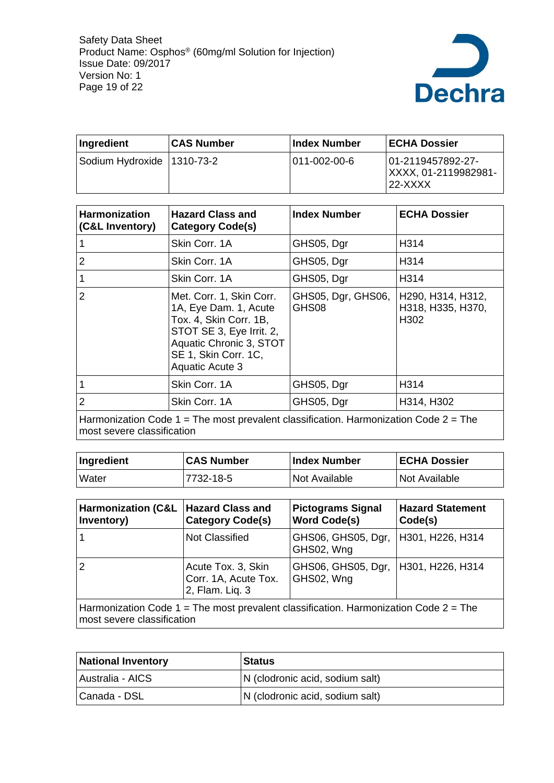

| Ingredient                   | <b>CAS Number</b> | ⊺Index Number         | <b>ECHA Dossier</b>                                    |
|------------------------------|-------------------|-----------------------|--------------------------------------------------------|
| Sodium Hydroxide   1310-73-2 |                   | $1011 - 002 - 00 - 6$ | 01-2119457892-27-<br> XXXX.01-2119982981-<br>$22-XXXX$ |

| <b>Harmonization</b><br>(C&L Inventory) | <b>Hazard Class and</b><br><b>Category Code(s)</b>                                                                                                                            | <b>Index Number</b>         | <b>ECHA Dossier</b>                            |
|-----------------------------------------|-------------------------------------------------------------------------------------------------------------------------------------------------------------------------------|-----------------------------|------------------------------------------------|
|                                         | Skin Corr. 1A                                                                                                                                                                 | GHS05, Dgr                  | H314                                           |
| $\overline{2}$                          | Skin Corr. 1A                                                                                                                                                                 | GHS05, Dgr                  | H314                                           |
|                                         | Skin Corr. 1A                                                                                                                                                                 | GHS05, Dgr                  | H314                                           |
| $\overline{2}$                          | Met. Corr. 1, Skin Corr.<br>1A, Eye Dam. 1, Acute<br>Tox. 4, Skin Corr. 1B,<br>STOT SE 3, Eye Irrit. 2,<br>Aquatic Chronic 3, STOT<br>SE 1, Skin Corr. 1C,<br>Aquatic Acute 3 | GHS05, Dgr, GHS06,<br>GHS08 | H290, H314, H312,<br>H318, H335, H370,<br>H302 |
|                                         | Skin Corr. 1A                                                                                                                                                                 | GHS05, Dgr                  | H314                                           |
| $\overline{2}$                          | Skin Corr. 1A                                                                                                                                                                 | GHS05, Dgr                  | H314, H302                                     |
|                                         | Harmonization Code $1 =$ The most prevalent classification. Harmonization Code $2 =$ The                                                                                      |                             |                                                |

most severe classification

| Ingredient   | <b>CAS Number</b> | <b>Index Number</b> | <b>ECHA Dossier</b> |
|--------------|-------------------|---------------------|---------------------|
| <b>Water</b> | 7732-18-5         | Not Available       | Not Available       |

| <b>Harmonization (C&amp;L</b><br>Inventory)                                                                            | <b>Hazard Class and</b><br><b>Category Code(s)</b>            | <b>Pictograms Signal</b><br><b>Word Code(s)</b> | <b>Hazard Statement</b><br>Code(s) |
|------------------------------------------------------------------------------------------------------------------------|---------------------------------------------------------------|-------------------------------------------------|------------------------------------|
|                                                                                                                        | <b>Not Classified</b>                                         | GHS06, GHS05, Dgr,<br>GHS02, Wng                | H301, H226, H314                   |
| $\overline{2}$                                                                                                         | Acute Tox. 3, Skin<br>Corr. 1A, Acute Tox.<br>2, Flam. Liq. 3 | GHS06, GHS05, Dgr,<br>GHS02, Wng                | H301, H226, H314                   |
| Harmonization Code $1 =$ The most prevalent classification. Harmonization Code $2 =$ The<br>most severe classification |                                                               |                                                 |                                    |

| <b>National Inventory</b> | <b>Status</b>                   |
|---------------------------|---------------------------------|
| Australia - AICS          | N (clodronic acid, sodium salt) |
| Canada - DSL              | N (clodronic acid, sodium salt) |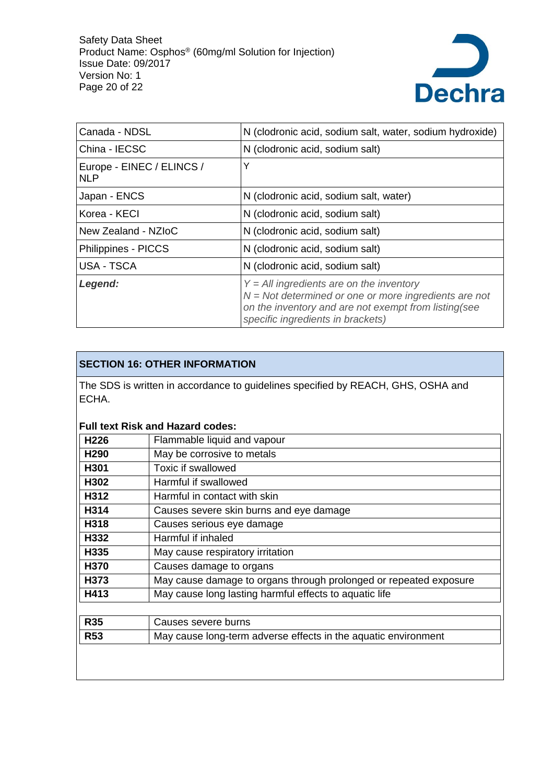

| Canada - NDSL                           | N (clodronic acid, sodium salt, water, sodium hydroxide)                                                                                                                                           |  |
|-----------------------------------------|----------------------------------------------------------------------------------------------------------------------------------------------------------------------------------------------------|--|
| China - IECSC                           | N (clodronic acid, sodium salt)                                                                                                                                                                    |  |
| Europe - EINEC / ELINCS /<br><b>NLP</b> | Υ                                                                                                                                                                                                  |  |
| Japan - ENCS                            | N (clodronic acid, sodium salt, water)                                                                                                                                                             |  |
| Korea - KECI                            | N (clodronic acid, sodium salt)                                                                                                                                                                    |  |
| New Zealand - NZIoC                     | N (clodronic acid, sodium salt)                                                                                                                                                                    |  |
| Philippines - PICCS                     | N (clodronic acid, sodium salt)                                                                                                                                                                    |  |
| USA - TSCA                              | N (clodronic acid, sodium salt)                                                                                                                                                                    |  |
| Legend:                                 | $Y = All$ ingredients are on the inventory<br>$N = Not$ determined or one or more ingredients are not<br>on the inventory and are not exempt from listing(see<br>specific ingredients in brackets) |  |

## **SECTION 16: OTHER INFORMATION**

The SDS is written in accordance to guidelines specified by REACH, GHS, OSHA and ECHA.

# **Full text Risk and Hazard codes:**

| H <sub>226</sub> | Flammable liquid and vapour                                       |  |
|------------------|-------------------------------------------------------------------|--|
| H <sub>290</sub> | May be corrosive to metals                                        |  |
| H301             | Toxic if swallowed                                                |  |
| H302             | Harmful if swallowed                                              |  |
| H312             | Harmful in contact with skin                                      |  |
| H314             | Causes severe skin burns and eye damage                           |  |
| H318             | Causes serious eye damage                                         |  |
| H332             | Harmful if inhaled                                                |  |
| H335             | May cause respiratory irritation                                  |  |
| H370             | Causes damage to organs                                           |  |
| H373             | May cause damage to organs through prolonged or repeated exposure |  |
| H413             | May cause long lasting harmful effects to aquatic life            |  |
|                  |                                                                   |  |
| <b>R35</b>       | Causes severe burns                                               |  |
| <b>R53</b>       | May cause long-term adverse effects in the aquatic environment    |  |
|                  |                                                                   |  |
|                  |                                                                   |  |
|                  |                                                                   |  |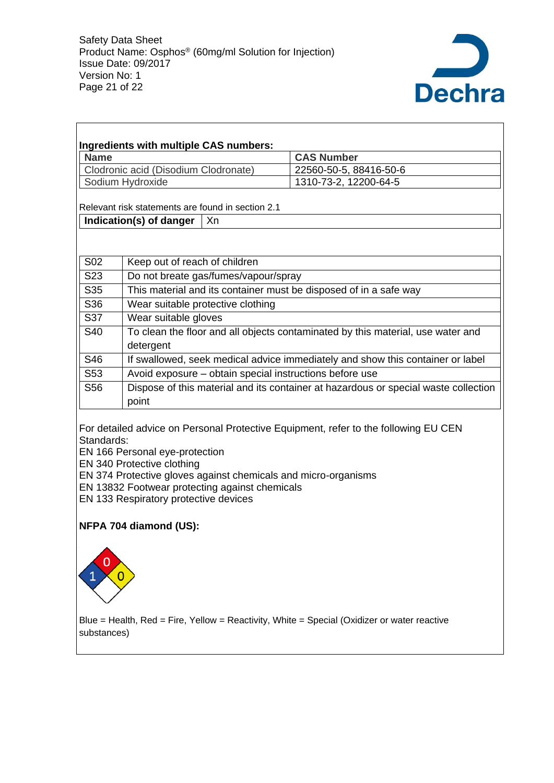

| <b>Name</b>                          |                                                                                     |                               | <b>CAS Number</b>      |  |  |
|--------------------------------------|-------------------------------------------------------------------------------------|-------------------------------|------------------------|--|--|
| Clodronic acid (Disodium Clodronate) |                                                                                     |                               | 22560-50-5, 88416-50-6 |  |  |
|                                      | Sodium Hydroxide                                                                    |                               | 1310-73-2, 12200-64-5  |  |  |
|                                      | Relevant risk statements are found in section 2.1                                   |                               |                        |  |  |
|                                      | Indication(s) of danger                                                             | .Xn                           |                        |  |  |
|                                      |                                                                                     |                               |                        |  |  |
|                                      |                                                                                     |                               |                        |  |  |
| S <sub>02</sub>                      |                                                                                     | Keep out of reach of children |                        |  |  |
| S <sub>23</sub>                      | Do not breate gas/fumes/vapour/spray                                                |                               |                        |  |  |
| S35                                  | This material and its container must be disposed of in a safe way                   |                               |                        |  |  |
| S36                                  | Wear suitable protective clothing                                                   |                               |                        |  |  |
| S37                                  | Wear suitable gloves                                                                |                               |                        |  |  |
| S40                                  | To clean the floor and all objects contaminated by this material, use water and     |                               |                        |  |  |
|                                      | detergent                                                                           |                               |                        |  |  |
| S46                                  | If swallowed, seek medical advice immediately and show this container or label      |                               |                        |  |  |
| S53                                  | Avoid exposure – obtain special instructions before use                             |                               |                        |  |  |
| S <sub>56</sub>                      | Dispose of this material and its container at hazardous or special waste collection |                               |                        |  |  |
|                                      | point                                                                               |                               |                        |  |  |
|                                      |                                                                                     |                               |                        |  |  |

EN 166 Personal eye-protection

EN 340 Protective clothing

EN 374 Protective gloves against chemicals and micro-organisms

EN 13832 Footwear protecting against chemicals

EN 133 Respiratory protective devices

## **NFPA 704 diamond (US):**



 $\mathsf{r}$ 

Blue = Health, Red = Fire, Yellow = Reactivity, White = Special (Oxidizer or water reactive substances)